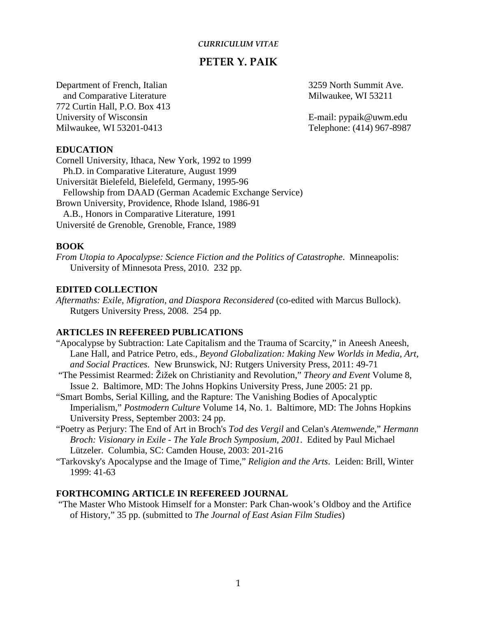#### *CURRICULUM VITAE*

# **PETER Y. PAIK**

Department of French, Italian 3259 North Summit Ave. and Comparative Literature Milwaukee, WI 53211 772 Curtin Hall, P.O. Box 413 University of Wisconsin **E**-mail: pypaik@uwm.edu Milwaukee, WI 53201-0413 Telephone: (414) 967-8987

#### **EDUCATION**

Cornell University, Ithaca, New York, 1992 to 1999 Ph.D. in Comparative Literature, August 1999 Universität Bielefeld, Bielefeld, Germany, 1995-96 Fellowship from DAAD (German Academic Exchange Service) Brown University, Providence, Rhode Island, 1986-91 A.B., Honors in Comparative Literature, 1991 Université de Grenoble, Grenoble, France, 1989

### **BOOK**

*From Utopia to Apocalypse: Science Fiction and the Politics of Catastrophe*. Minneapolis: University of Minnesota Press, 2010. 232 pp.

### **EDITED COLLECTION**

*Aftermaths: Exile, Migration, and Diaspora Reconsidered* (co-edited with Marcus Bullock). Rutgers University Press, 2008. 254 pp.

# **ARTICLES IN REFEREED PUBLICATIONS**

- "Apocalypse by Subtraction: Late Capitalism and the Trauma of Scarcity," in Aneesh Aneesh, Lane Hall, and Patrice Petro, eds., *Beyond Globalization: Making New Worlds in Media, Art, and Social Practices*. New Brunswick, NJ: Rutgers University Press, 2011: 49-71
- "The Pessimist Rearmed: Žižek on Christianity and Revolution," *Theory and Event* Volume 8, Issue 2. Baltimore, MD: The Johns Hopkins University Press, June 2005: 21 pp.
- "Smart Bombs, Serial Killing, and the Rapture: The Vanishing Bodies of Apocalyptic Imperialism," *Postmodern Culture* Volume 14, No. 1. Baltimore, MD: The Johns Hopkins University Press, September 2003: 24 pp.
- "Poetry as Perjury: The End of Art in Broch's *Tod des Vergil* and Celan's *Atemwende*," *Hermann Broch: Visionary in Exile - The Yale Broch Symposium, 2001*. Edited by Paul Michael Lützeler. Columbia, SC: Camden House, 2003: 201-216
- "Tarkovsky's Apocalypse and the Image of Time," *Religion and the Arts*. Leiden: Brill, Winter 1999: 41-63

#### **FORTHCOMING ARTICLE IN REFEREED JOURNAL**

"The Master Who Mistook Himself for a Monster: Park Chan-wook's Oldboy and the Artifice of History," 35 pp. (submitted to *The Journal of East Asian Film Studies*)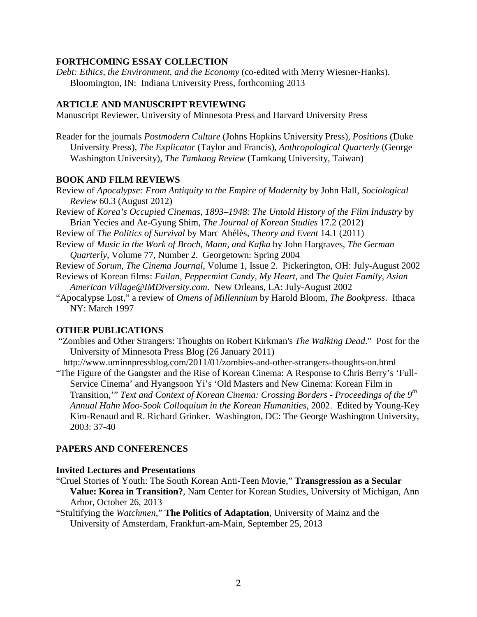#### **FORTHCOMING ESSAY COLLECTION**

*Debt: Ethics, the Environment, and the Economy* (co-edited with Merry Wiesner-Hanks). Bloomington, IN: Indiana University Press, forthcoming 2013

### **ARTICLE AND MANUSCRIPT REVIEWING**

Manuscript Reviewer, University of Minnesota Press and Harvard University Press

Reader for the journals *Postmodern Culture* (Johns Hopkins University Press), *Positions* (Duke University Press), *The Explicator* (Taylor and Francis), *Anthropological Quarterly* (George Washington University), *The Tamkang Review* (Tamkang University, Taiwan)

# **BOOK AND FILM REVIEWS**

Review of *Apocalypse: From Antiquity to the Empire of Modernity* by John Hall, *Sociological Review* 60.3 (August 2012)

- Review of *Korea's Occupied Cinemas, 1893–1948: The Untold History of the Film Industry* by Brian Yecies and Ae-Gyung Shim, *The Journal of Korean Studies* 17.2 (2012)
- Review of *The Politics of Survival* by Marc Abélès, *Theory and Event* 14.1 (2011)
- Review of *Music in the Work of Broch, Mann, and Kafka* by John Hargraves, *The German Quarterly*, Volume 77, Number 2. Georgetown: Spring 2004

Review of *Sorum*, *The Cinema Journal*, Volume 1, Issue 2. Pickerington, OH: July-August 2002 Reviews of Korean films: *Failan, Peppermint Candy, My Heart,* and *The Quiet Family*, *Asian* 

*American Village@IMDiversity.com*. New Orleans, LA: July-August 2002

"Apocalypse Lost," a review of *Omens of Millennium* by Harold Bloom, *The Bookpress*. Ithaca NY: March 1997

# **OTHER PUBLICATIONS**

"Zombies and Other Strangers: Thoughts on Robert Kirkman's *The Walking Dead*." Post for the University of Minnesota Press Blog (26 January 2011)

http://www.uminnpressblog.com/2011/01/zombies-and-other-strangers-thoughts-on.html "The Figure of the Gangster and the Rise of Korean Cinema: A Response to Chris Berry's 'Full-Service Cinema' and Hyangsoon Yi's 'Old Masters and New Cinema: Korean Film in Transition,'" *Text and Context of Korean Cinema: Crossing Borders* - *Proceedings of the 9th Annual Hahn Moo-Sook Colloquium in the Korean Humanities*, 2002. Edited by Young-Key

Kim-Renaud and R. Richard Grinker. Washington, DC: The George Washington University, 2003: 37-40

#### **PAPERS AND CONFERENCES**

#### **Invited Lectures and Presentations**

"Cruel Stories of Youth: The South Korean Anti-Teen Movie," **Transgression as a Secular Value: Korea in Transition?**, Nam Center for Korean Studies, University of Michigan, Ann Arbor, October 26, 2013

"Stultifying the *Watchmen*," **The Politics of Adaptation**, University of Mainz and the University of Amsterdam, Frankfurt-am-Main, September 25, 2013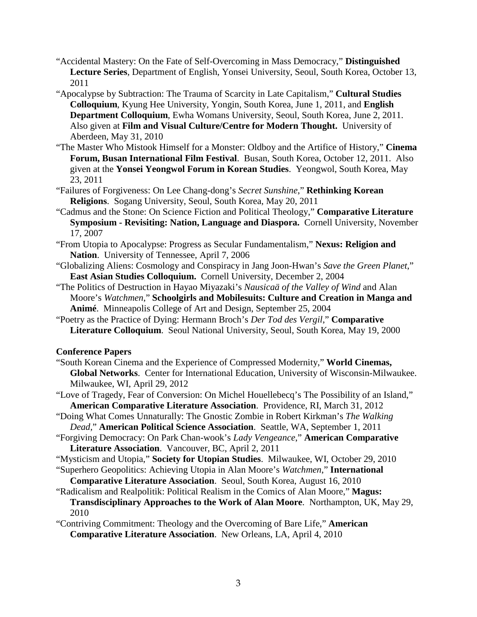- "Accidental Mastery: On the Fate of Self-Overcoming in Mass Democracy," **Distinguished Lecture Series**, Department of English, Yonsei University, Seoul, South Korea, October 13, 2011
- "Apocalypse by Subtraction: The Trauma of Scarcity in Late Capitalism," **Cultural Studies Colloquium**, Kyung Hee University, Yongin, South Korea, June 1, 2011, and **English Department Colloquium**, Ewha Womans University, Seoul, South Korea, June 2, 2011. Also given at **Film and Visual Culture/Centre for Modern Thought.** University of Aberdeen, May 31, 2010
- "The Master Who Mistook Himself for a Monster: Oldboy and the Artifice of History," **Cinema Forum, Busan International Film Festival**. Busan, South Korea, October 12, 2011. Also given at the **Yonsei Yeongwol Forum in Korean Studies**. Yeongwol, South Korea, May 23, 2011
- "Failures of Forgiveness: On Lee Chang-dong's *Secret Sunshine*," **Rethinking Korean Religions**. Sogang University, Seoul, South Korea, May 20, 2011
- "Cadmus and the Stone: On Science Fiction and Political Theology," **Comparative Literature Symposium - Revisiting: Nation, Language and Diaspora.** Cornell University, November 17, 2007
- "From Utopia to Apocalypse: Progress as Secular Fundamentalism," **Nexus: Religion and Nation**. University of Tennessee, April 7, 2006
- "Globalizing Aliens: Cosmology and Conspiracy in Jang Joon-Hwan's *Save the Green Planet*," **East Asian Studies Colloquium.** Cornell University, December 2, 2004
- "The Politics of Destruction in Hayao Miyazaki's *Nausicaä of the Valley of Wind* and Alan Moore's *Watchmen*," **Schoolgirls and Mobilesuits: Culture and Creation in Manga and Animé**. Minneapolis College of Art and Design, September 25, 2004
- "Poetry as the Practice of Dying: Hermann Broch's *Der Tod des Vergil*," **Comparative Literature Colloquium**. Seoul National University, Seoul, South Korea, May 19, 2000

## **Conference Papers**

- "South Korean Cinema and the Experience of Compressed Modernity," **World Cinemas, Global Networks**. Center for International Education, University of Wisconsin-Milwaukee. Milwaukee, WI, April 29, 2012
- "Love of Tragedy, Fear of Conversion: On Michel Houellebecq's The Possibility of an Island," **American Comparative Literature Association**. Providence, RI, March 31, 2012
- "Doing What Comes Unnaturally: The Gnostic Zombie in Robert Kirkman's *The Walking Dead*," **American Political Science Association**. Seattle, WA, September 1, 2011
- "Forgiving Democracy: On Park Chan-wook's *Lady Vengeance*," **American Comparative Literature Association**. Vancouver, BC, April 2, 2011
- "Mysticism and Utopia," **Society for Utopian Studies**. Milwaukee, WI, October 29, 2010
- "Superhero Geopolitics: Achieving Utopia in Alan Moore's *Watchmen*," **International**
- **Comparative Literature Association**. Seoul, South Korea, August 16, 2010
- "Radicalism and Realpolitik: Political Realism in the Comics of Alan Moore," **Magus: Transdisciplinary Approaches to the Work of Alan Moore**. Northampton, UK, May 29, 2010
- "Contriving Commitment: Theology and the Overcoming of Bare Life," **American Comparative Literature Association**. New Orleans, LA, April 4, 2010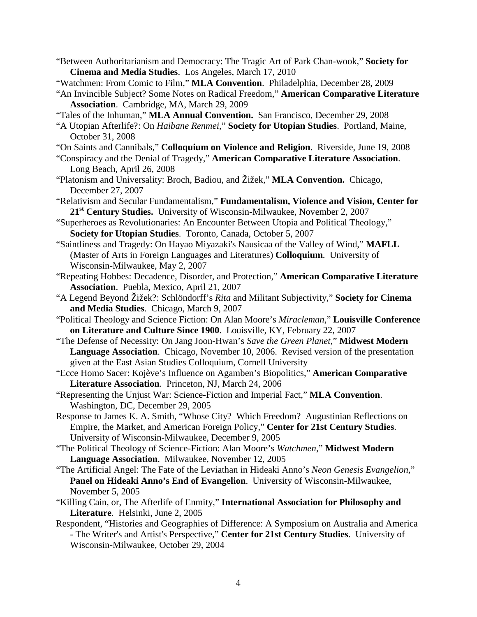- "Between Authoritarianism and Democracy: The Tragic Art of Park Chan-wook," **Society for Cinema and Media Studies**. Los Angeles, March 17, 2010
- "Watchmen: From Comic to Film," **MLA Convention**. Philadelphia, December 28, 2009
- "An Invincible Subject? Some Notes on Radical Freedom," **American Comparative Literature Association**. Cambridge, MA, March 29, 2009
- "Tales of the Inhuman," **MLA Annual Convention.** San Francisco, December 29, 2008
- "A Utopian Afterlife?: On *Haibane Renmei*," **Society for Utopian Studies**. Portland, Maine, October 31, 2008
- "On Saints and Cannibals," **Colloquium on Violence and Religion**. Riverside, June 19, 2008
- "Conspiracy and the Denial of Tragedy," **American Comparative Literature Association**. Long Beach, April 26, 2008
- "Platonism and Universality: Broch, Badiou, and Žižek," **MLA Convention.** Chicago, December 27, 2007
- "Relativism and Secular Fundamentalism," **Fundamentalism, Violence and Vision, Center for 21st Century Studies.** University of Wisconsin-Milwaukee, November 2, 2007
- "Superheroes as Revolutionaries: An Encounter Between Utopia and Political Theology," **Society for Utopian Studies**. Toronto, Canada, October 5, 2007
- "Saintliness and Tragedy: On Hayao Miyazaki's Nausicaa of the Valley of Wind," **MAFLL** (Master of Arts in Foreign Languages and Literatures) **Colloquium**. University of Wisconsin-Milwaukee, May 2, 2007
- "Repeating Hobbes: Decadence, Disorder, and Protection," **American Comparative Literature Association**. Puebla, Mexico, April 21, 2007
- "A Legend Beyond Žižek?: Schlöndorff's *Rita* and Militant Subjectivity," **Society for Cinema and Media Studies**. Chicago, March 9, 2007
- "Political Theology and Science Fiction: On Alan Moore's *Miracleman*," **Louisville Conference on Literature and Culture Since 1900**. Louisville, KY, February 22, 2007
- "The Defense of Necessity: On Jang Joon-Hwan's *Save the Green Planet*," **Midwest Modern Language Association**. Chicago, November 10, 2006. Revised version of the presentation given at the East Asian Studies Colloquium, Cornell University
- "Ecce Homo Sacer: Kojève's Influence on Agamben's Biopolitics," **American Comparative Literature Association**. Princeton, NJ, March 24, 2006
- "Representing the Unjust War: Science-Fiction and Imperial Fact," **MLA Convention**. Washington, DC, December 29, 2005
- Response to James K. A. Smith, "Whose City? Which Freedom? Augustinian Reflections on Empire, the Market, and American Foreign Policy," **Center for 21st Century Studies**. University of Wisconsin-Milwaukee, December 9, 2005
- "The Political Theology of Science-Fiction: Alan Moore's *Watchmen*," **Midwest Modern Language Association**. Milwaukee, November 12, 2005
- "The Artificial Angel: The Fate of the Leviathan in Hideaki Anno's *Neon Genesis Evangelion*," **Panel on Hideaki Anno's End of Evangelion**. University of Wisconsin-Milwaukee, November 5, 2005
- "Killing Cain, or, The Afterlife of Enmity," **International Association for Philosophy and Literature**. Helsinki, June 2, 2005
- Respondent, "Histories and Geographies of Difference: A Symposium on Australia and America - The Writer's and Artist's Perspective," **Center for 21st Century Studies**. University of Wisconsin-Milwaukee, October 29, 2004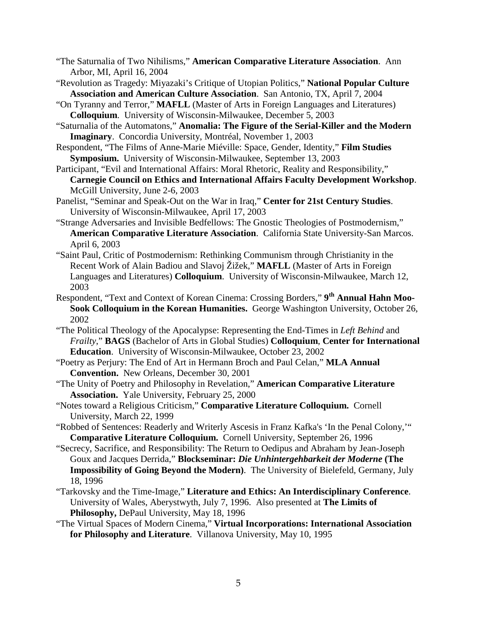- "The Saturnalia of Two Nihilisms," **American Comparative Literature Association**. Ann Arbor, MI, April 16, 2004
- "Revolution as Tragedy: Miyazaki's Critique of Utopian Politics," **National Popular Culture Association and American Culture Association**. San Antonio, TX, April 7, 2004
- "On Tyranny and Terror," **MAFLL** (Master of Arts in Foreign Languages and Literatures) **Colloquium**. University of Wisconsin-Milwaukee, December 5, 2003
- "Saturnalia of the Automatons," **Anomalia: The Figure of the Serial-Killer and the Modern Imaginary**. Concordia University, Montréal, November 1, 2003
- Respondent, "The Films of Anne-Marie Miéville: Space, Gender, Identity," **Film Studies Symposium.** University of Wisconsin-Milwaukee, September 13, 2003
- Participant, "Evil and International Affairs: Moral Rhetoric, Reality and Responsibility," **Carnegie Council on Ethics and International Affairs Faculty Development Workshop**. McGill University, June 2-6, 2003
- Panelist, "Seminar and Speak-Out on the War in Iraq," **Center for 21st Century Studies**. University of Wisconsin-Milwaukee, April 17, 2003
- "Strange Adversaries and Invisible Bedfellows: The Gnostic Theologies of Postmodernism," **American Comparative Literature Association**. California State University-San Marcos. April 6, 2003
- "Saint Paul, Critic of Postmodernism: Rethinking Communism through Christianity in the Recent Work of Alain Badiou and Slavoj Žižek," **MAFLL** (Master of Arts in Foreign Languages and Literatures) **Colloquium**. University of Wisconsin-Milwaukee, March 12, 2003
- Respondent, "Text and Context of Korean Cinema: Crossing Borders," **9th Annual Hahn Moo-Sook Colloquium in the Korean Humanities.** George Washington University, October 26, 2002
- "The Political Theology of the Apocalypse: Representing the End-Times in *Left Behind* and *Frailty*," **BAGS** (Bachelor of Arts in Global Studies) **Colloquium**, **Center for International Education**. University of Wisconsin-Milwaukee, October 23, 2002
- "Poetry as Perjury: The End of Art in Hermann Broch and Paul Celan," **MLA Annual Convention.** New Orleans, December 30, 2001
- "The Unity of Poetry and Philosophy in Revelation," **American Comparative Literature Association.** Yale University, February 25, 2000
- "Notes toward a Religious Criticism," **Comparative Literature Colloquium.** Cornell University, March 22, 1999
- "Robbed of Sentences: Readerly and Writerly Ascesis in Franz Kafka's 'In the Penal Colony,'" **Comparative Literature Colloquium.** Cornell University, September 26, 1996
- "Secrecy, Sacrifice, and Responsibility: The Return to Oedipus and Abraham by Jean-Joseph Goux and Jacques Derrida," **Blockseminar:** *Die Unhintergehbarkeit der Moderne* **(The Impossibility of Going Beyond the Modern)**. The University of Bielefeld, Germany, July 18, 1996
- "Tarkovsky and the Time-Image," **Literature and Ethics: An Interdisciplinary Conference**. University of Wales, Aberystwyth, July 7, 1996. Also presented at **The Limits of Philosophy,** DePaul University, May 18, 1996
- "The Virtual Spaces of Modern Cinema," **Virtual Incorporations: International Association for Philosophy and Literature**. Villanova University, May 10, 1995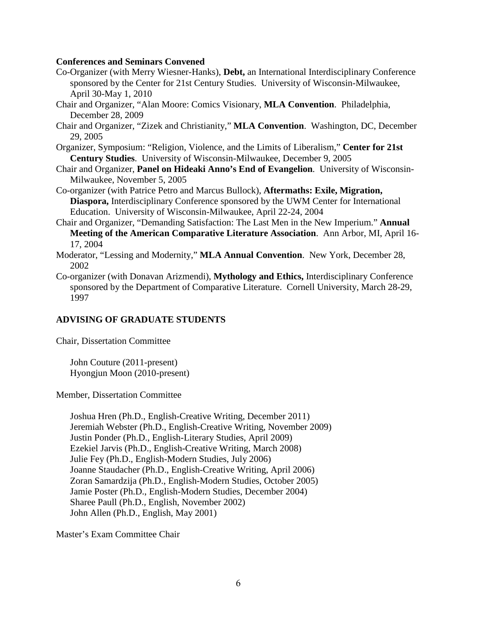### **Conferences and Seminars Convened**

- Co-Organizer (with Merry Wiesner-Hanks), **Debt,** an International Interdisciplinary Conference sponsored by the Center for 21st Century Studies. University of Wisconsin-Milwaukee, April 30-May 1, 2010
- Chair and Organizer, "Alan Moore: Comics Visionary, **MLA Convention**. Philadelphia, December 28, 2009
- Chair and Organizer, "Zizek and Christianity," **MLA Convention**. Washington, DC, December 29, 2005
- Organizer, Symposium: "Religion, Violence, and the Limits of Liberalism," **Center for 21st Century Studies**. University of Wisconsin-Milwaukee, December 9, 2005
- Chair and Organizer, **Panel on Hideaki Anno's End of Evangelion**. University of Wisconsin-Milwaukee, November 5, 2005
- Co-organizer (with Patrice Petro and Marcus Bullock), **Aftermaths: Exile, Migration, Diaspora,** Interdisciplinary Conference sponsored by the UWM Center for International Education. University of Wisconsin-Milwaukee, April 22-24, 2004
- Chair and Organizer, "Demanding Satisfaction: The Last Men in the New Imperium." **Annual Meeting of the American Comparative Literature Association**.Ann Arbor, MI, April 16- 17, 2004
- Moderator, "Lessing and Modernity," **MLA Annual Convention**. New York, December 28, 2002
- Co-organizer (with Donavan Arizmendi), **Mythology and Ethics,** Interdisciplinary Conference sponsored by the Department of Comparative Literature. Cornell University, March 28-29, 1997

# **ADVISING OF GRADUATE STUDENTS**

Chair, Dissertation Committee

John Couture (2011-present) Hyongjun Moon (2010-present)

Member, Dissertation Committee

Joshua Hren (Ph.D., English-Creative Writing, December 2011) Jeremiah Webster (Ph.D., English-Creative Writing, November 2009) Justin Ponder (Ph.D., English-Literary Studies, April 2009) Ezekiel Jarvis (Ph.D., English-Creative Writing, March 2008) Julie Fey (Ph.D., English-Modern Studies, July 2006) Joanne Staudacher (Ph.D., English-Creative Writing, April 2006) Zoran Samardzija (Ph.D., English-Modern Studies, October 2005) Jamie Poster (Ph.D., English-Modern Studies, December 2004) Sharee Paull (Ph.D., English, November 2002) John Allen (Ph.D., English, May 2001)

Master's Exam Committee Chair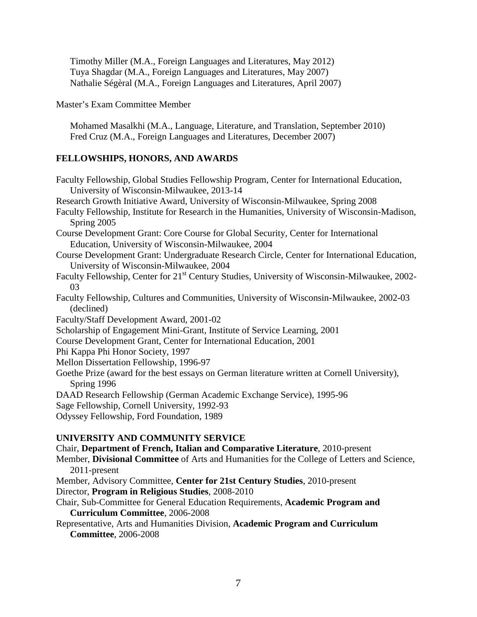Timothy Miller (M.A., Foreign Languages and Literatures, May 2012) Tuya Shagdar (M.A., Foreign Languages and Literatures, May 2007) Nathalie Ségèral (M.A., Foreign Languages and Literatures, April 2007)

Master's Exam Committee Member

Mohamed Masalkhi (M.A., Language, Literature, and Translation, September 2010) Fred Cruz (M.A., Foreign Languages and Literatures, December 2007)

# **FELLOWSHIPS, HONORS, AND AWARDS**

Faculty Fellowship, Global Studies Fellowship Program, Center for International Education, University of Wisconsin-Milwaukee, 2013-14 Research Growth Initiative Award, University of Wisconsin-Milwaukee, Spring 2008 Faculty Fellowship, Institute for Research in the Humanities, University of Wisconsin-Madison, Spring 2005 Course Development Grant: Core Course for Global Security, Center for International Education, University of Wisconsin-Milwaukee, 2004 Course Development Grant: Undergraduate Research Circle, Center for International Education, University of Wisconsin-Milwaukee, 2004 Faculty Fellowship, Center for 21<sup>st</sup> Century Studies, University of Wisconsin-Milwaukee, 2002-03 Faculty Fellowship, Cultures and Communities, University of Wisconsin-Milwaukee, 2002-03 (declined) Faculty/Staff Development Award, 2001-02 Scholarship of Engagement Mini-Grant, Institute of Service Learning, 2001 Course Development Grant, Center for International Education, 2001 Phi Kappa Phi Honor Society, 1997 Mellon Dissertation Fellowship, 1996-97 Goethe Prize (award for the best essays on German literature written at Cornell University), Spring 1996 DAAD Research Fellowship (German Academic Exchange Service), 1995-96 Sage Fellowship, Cornell University, 1992-93 Odyssey Fellowship, Ford Foundation, 1989 **UNIVERSITY AND COMMUNITY SERVICE**

Chair, **Department of French, Italian and Comparative Literature**, 2010-present

Member, **Divisional Committee** of Arts and Humanities for the College of Letters and Science, 2011-present

- Member, Advisory Committee, **Center for 21st Century Studies**, 2010-present Director, **Program in Religious Studies**, 2008-2010
- Chair, Sub-Committee for General Education Requirements, **Academic Program and Curriculum Committee**, 2006-2008
- Representative, Arts and Humanities Division, **Academic Program and Curriculum Committee**, 2006-2008